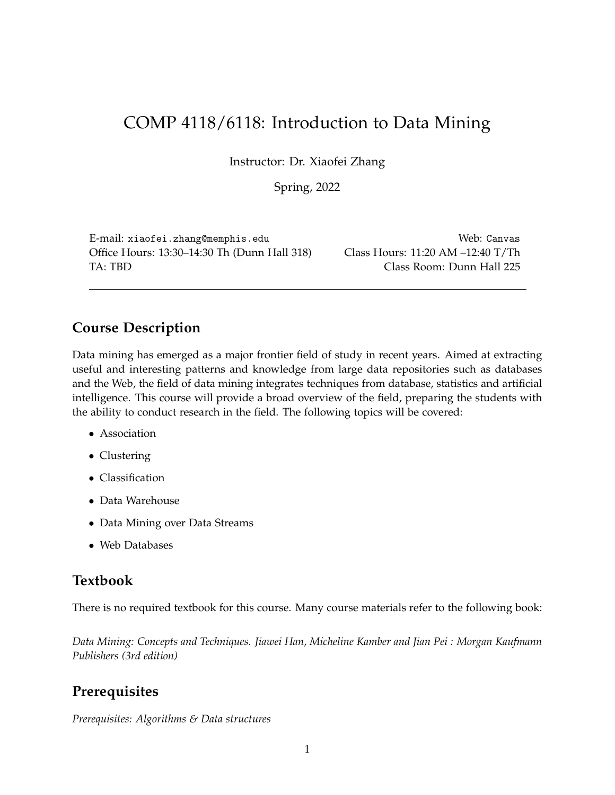# COMP 4118/6118: Introduction to Data Mining

Instructor: Dr. Xiaofei Zhang

Spring, 2022

E-mail: xiaofei.zhang@memphis.edu Web: Canvas Office Hours: 13:30–14:30 Th (Dunn Hall 318) Class Hours: 11:20 AM –12:40 T/Th TA: TBD Class Room: Dunn Hall 225

## **Course Description**

Data mining has emerged as a major frontier field of study in recent years. Aimed at extracting useful and interesting patterns and knowledge from large data repositories such as databases and the Web, the field of data mining integrates techniques from database, statistics and artificial intelligence. This course will provide a broad overview of the field, preparing the students with the ability to conduct research in the field. The following topics will be covered:

- Association
- Clustering
- Classification
- Data Warehouse
- Data Mining over Data Streams
- Web Databases

### **Textbook**

There is no required textbook for this course. Many course materials refer to the following book:

*Data Mining: Concepts and Techniques. Jiawei Han, Micheline Kamber and Jian Pei : Morgan Kaufmann Publishers (3rd edition)*

## **Prerequisites**

*Prerequisites: Algorithms & Data structures*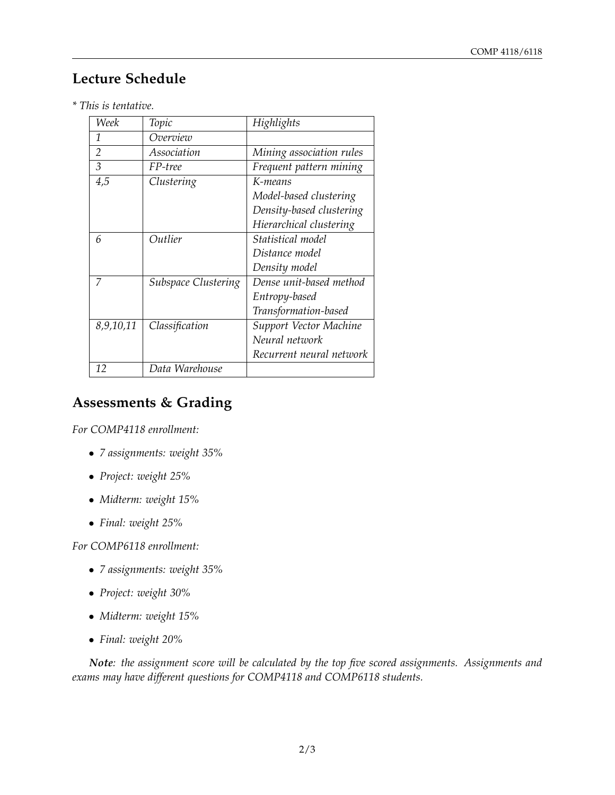## **Lecture Schedule**

#### *\* This is tentative.*

| Week      | Topic               | Highlights               |
|-----------|---------------------|--------------------------|
| 1         | Overview            |                          |
| 2         | Association         | Mining association rules |
| 3         | FP-tree             | Frequent pattern mining  |
| 4,5       | Clustering          | K-means                  |
|           |                     | Model-based clustering   |
|           |                     | Density-based clustering |
|           |                     | Hierarchical clustering  |
| 6         | Outlier             | Statistical model        |
|           |                     | Distance model           |
|           |                     | Density model            |
| 7         | Subspace Clustering | Dense unit-based method  |
|           |                     | Entropy-based            |
|           |                     | Transformation-based     |
| 8,9,10,11 | Classification      | Support Vector Machine   |
|           |                     | Neural network           |
|           |                     | Recurrent neural network |
| 12        | Data Warehouse      |                          |

## **Assessments & Grading**

*For COMP4118 enrollment:*

- *7 assignments: weight 35%*
- *Project: weight 25%*
- *Midterm: weight 15%*
- *Final: weight 25%*

*For COMP6118 enrollment:*

- *7 assignments: weight 35%*
- *Project: weight 30%*
- *Midterm: weight 15%*
- *Final: weight 20%*

*Note: the assignment score will be calculated by the top five scored assignments. Assignments and exams may have different questions for COMP4118 and COMP6118 students.*